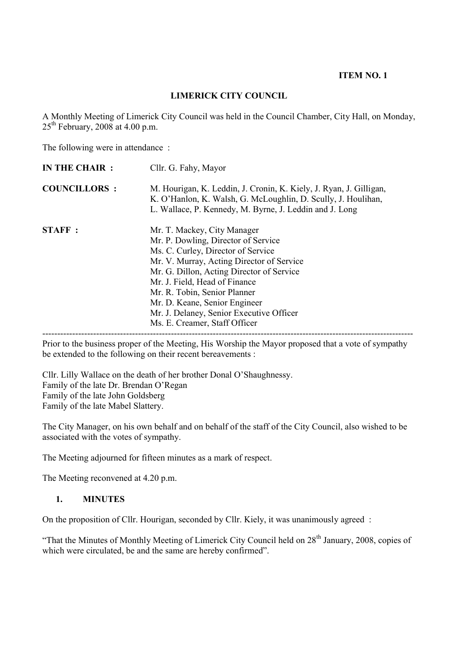#### **ITEM NO. 1**

#### **LIMERICK CITY COUNCIL**

A Monthly Meeting of Limerick City Council was held in the Council Chamber, City Hall, on Monday,  $25<sup>th</sup>$  February, 2008 at 4.00 p.m.

The following were in attendance :

| IN THE CHAIR :      | Cllr. G. Fahy, Mayor                                                                                                                                                                                                                                                                                                                                                              |  |
|---------------------|-----------------------------------------------------------------------------------------------------------------------------------------------------------------------------------------------------------------------------------------------------------------------------------------------------------------------------------------------------------------------------------|--|
| <b>COUNCILLORS:</b> | M. Hourigan, K. Leddin, J. Cronin, K. Kiely, J. Ryan, J. Gilligan,<br>K. O'Hanlon, K. Walsh, G. McLoughlin, D. Scully, J. Houlihan,<br>L. Wallace, P. Kennedy, M. Byrne, J. Leddin and J. Long                                                                                                                                                                                    |  |
| <b>STAFF:</b>       | Mr. T. Mackey, City Manager<br>Mr. P. Dowling, Director of Service<br>Ms. C. Curley, Director of Service<br>Mr. V. Murray, Acting Director of Service<br>Mr. G. Dillon, Acting Director of Service<br>Mr. J. Field, Head of Finance<br>Mr. R. Tobin, Senior Planner<br>Mr. D. Keane, Senior Engineer<br>Mr. J. Delaney, Senior Executive Officer<br>Ms. E. Creamer, Staff Officer |  |

Prior to the business proper of the Meeting, His Worship the Mayor proposed that a vote of sympathy be extended to the following on their recent bereavements :

Cllr. Lilly Wallace on the death of her brother Donal O'Shaughnessy. Family of the late Dr. Brendan O'Regan Family of the late John Goldsberg Family of the late Mabel Slattery.

The City Manager, on his own behalf and on behalf of the staff of the City Council, also wished to be associated with the votes of sympathy.

The Meeting adjourned for fifteen minutes as a mark of respect.

The Meeting reconvened at 4.20 p.m.

#### **1. MINUTES**

On the proposition of Cllr. Hourigan, seconded by Cllr. Kiely, it was unanimously agreed :

"That the Minutes of Monthly Meeting of Limerick City Council held on 28<sup>th</sup> January, 2008, copies of which were circulated, be and the same are hereby confirmed".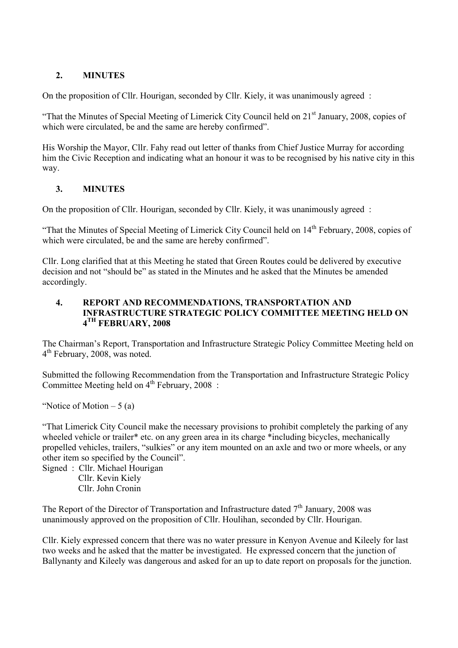## **2. MINUTES**

On the proposition of Cllr. Hourigan, seconded by Cllr. Kiely, it was unanimously agreed :

"That the Minutes of Special Meeting of Limerick City Council held on 21<sup>st</sup> January, 2008, copies of which were circulated, be and the same are hereby confirmed".

His Worship the Mayor, Cllr. Fahy read out letter of thanks from Chief Justice Murray for according him the Civic Reception and indicating what an honour it was to be recognised by his native city in this way.

## **3. MINUTES**

On the proposition of Cllr. Hourigan, seconded by Cllr. Kiely, it was unanimously agreed :

"That the Minutes of Special Meeting of Limerick City Council held on 14<sup>th</sup> February, 2008, copies of which were circulated, be and the same are hereby confirmed".

Cllr. Long clarified that at this Meeting he stated that Green Routes could be delivered by executive decision and not "should be" as stated in the Minutes and he asked that the Minutes be amended accordingly.

#### **4. REPORT AND RECOMMENDATIONS, TRANSPORTATION AND INFRASTRUCTURE STRATEGIC POLICY COMMITTEE MEETING HELD ON 4TH FEBRUARY, 2008**

The Chairman's Report, Transportation and Infrastructure Strategic Policy Committee Meeting held on 4<sup>th</sup> February, 2008, was noted.

Submitted the following Recommendation from the Transportation and Infrastructure Strategic Policy Committee Meeting held on  $4<sup>th</sup>$  February, 2008 :

"Notice of Motion  $-5$  (a)

"That Limerick City Council make the necessary provisions to prohibit completely the parking of any wheeled vehicle or trailer<sup>\*</sup> etc. on any green area in its charge \*including bicycles, mechanically propelled vehicles, trailers, "sulkies" or any item mounted on an axle and two or more wheels, or any other item so specified by the Council".

Signed : Cllr. Michael Hourigan Cllr. Kevin Kiely Cllr. John Cronin

The Report of the Director of Transportation and Infrastructure dated  $7<sup>th</sup>$  January, 2008 was unanimously approved on the proposition of Cllr. Houlihan, seconded by Cllr. Hourigan.

Cllr. Kiely expressed concern that there was no water pressure in Kenyon Avenue and Kileely for last two weeks and he asked that the matter be investigated. He expressed concern that the junction of Ballynanty and Kileely was dangerous and asked for an up to date report on proposals for the junction.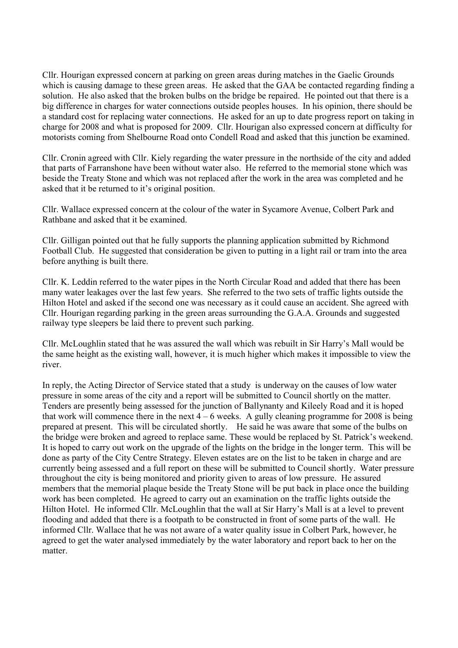Cllr. Hourigan expressed concern at parking on green areas during matches in the Gaelic Grounds which is causing damage to these green areas. He asked that the GAA be contacted regarding finding a solution. He also asked that the broken bulbs on the bridge be repaired. He pointed out that there is a big difference in charges for water connections outside peoples houses. In his opinion, there should be a standard cost for replacing water connections. He asked for an up to date progress report on taking in charge for 2008 and what is proposed for 2009. Cllr. Hourigan also expressed concern at difficulty for motorists coming from Shelbourne Road onto Condell Road and asked that this junction be examined.

Cllr. Cronin agreed with Cllr. Kiely regarding the water pressure in the northside of the city and added that parts of Farranshone have been without water also. He referred to the memorial stone which was beside the Treaty Stone and which was not replaced after the work in the area was completed and he asked that it be returned to it's original position.

Cllr. Wallace expressed concern at the colour of the water in Sycamore Avenue, Colbert Park and Rathbane and asked that it be examined.

Cllr. Gilligan pointed out that he fully supports the planning application submitted by Richmond Football Club. He suggested that consideration be given to putting in a light rail or tram into the area before anything is built there.

Cllr. K. Leddin referred to the water pipes in the North Circular Road and added that there has been many water leakages over the last few years. She referred to the two sets of traffic lights outside the Hilton Hotel and asked if the second one was necessary as it could cause an accident. She agreed with Cllr. Hourigan regarding parking in the green areas surrounding the G.A.A. Grounds and suggested railway type sleepers be laid there to prevent such parking.

Cllr. McLoughlin stated that he was assured the wall which was rebuilt in Sir Harry's Mall would be the same height as the existing wall, however, it is much higher which makes it impossible to view the river.

In reply, the Acting Director of Service stated that a study is underway on the causes of low water pressure in some areas of the city and a report will be submitted to Council shortly on the matter. Tenders are presently being assessed for the junction of Ballynanty and Kileely Road and it is hoped that work will commence there in the next  $4 - 6$  weeks. A gully cleaning programme for 2008 is being prepared at present. This will be circulated shortly. He said he was aware that some of the bulbs on the bridge were broken and agreed to replace same. These would be replaced by St. Patrick's weekend. It is hoped to carry out work on the upgrade of the lights on the bridge in the longer term. This will be done as party of the City Centre Strategy. Eleven estates are on the list to be taken in charge and are currently being assessed and a full report on these will be submitted to Council shortly. Water pressure throughout the city is being monitored and priority given to areas of low pressure. He assured members that the memorial plaque beside the Treaty Stone will be put back in place once the building work has been completed. He agreed to carry out an examination on the traffic lights outside the Hilton Hotel. He informed Cllr. McLoughlin that the wall at Sir Harry's Mall is at a level to prevent flooding and added that there is a footpath to be constructed in front of some parts of the wall. He informed Cllr. Wallace that he was not aware of a water quality issue in Colbert Park, however, he agreed to get the water analysed immediately by the water laboratory and report back to her on the matter.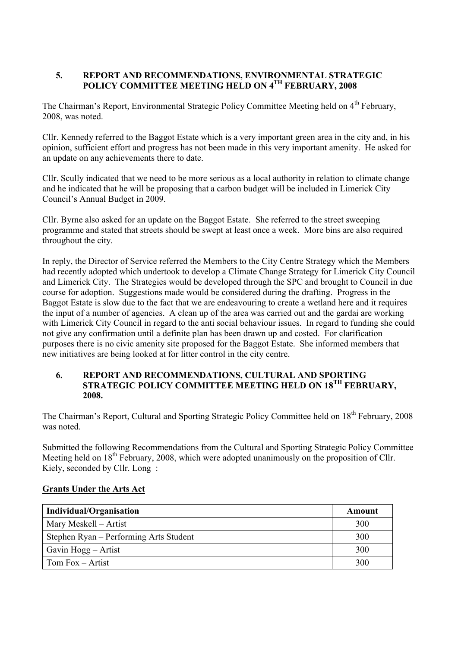## **5. REPORT AND RECOMMENDATIONS, ENVIRONMENTAL STRATEGIC POLICY COMMITTEE MEETING HELD ON 4TH FEBRUARY, 2008**

The Chairman's Report, Environmental Strategic Policy Committee Meeting held on 4<sup>th</sup> February, 2008, was noted.

Cllr. Kennedy referred to the Baggot Estate which is a very important green area in the city and, in his opinion, sufficient effort and progress has not been made in this very important amenity. He asked for an update on any achievements there to date.

Cllr. Scully indicated that we need to be more serious as a local authority in relation to climate change and he indicated that he will be proposing that a carbon budget will be included in Limerick City Council's Annual Budget in 2009.

Cllr. Byrne also asked for an update on the Baggot Estate. She referred to the street sweeping programme and stated that streets should be swept at least once a week. More bins are also required throughout the city.

In reply, the Director of Service referred the Members to the City Centre Strategy which the Members had recently adopted which undertook to develop a Climate Change Strategy for Limerick City Council and Limerick City. The Strategies would be developed through the SPC and brought to Council in due course for adoption. Suggestions made would be considered during the drafting. Progress in the Baggot Estate is slow due to the fact that we are endeavouring to create a wetland here and it requires the input of a number of agencies. A clean up of the area was carried out and the gardai are working with Limerick City Council in regard to the anti social behaviour issues. In regard to funding she could not give any confirmation until a definite plan has been drawn up and costed. For clarification purposes there is no civic amenity site proposed for the Baggot Estate. She informed members that new initiatives are being looked at for litter control in the city centre.

#### **6. REPORT AND RECOMMENDATIONS, CULTURAL AND SPORTING STRATEGIC POLICY COMMITTEE MEETING HELD ON 18TH FEBRUARY, 2008.**

The Chairman's Report, Cultural and Sporting Strategic Policy Committee held on 18<sup>th</sup> February, 2008 was noted.

Submitted the following Recommendations from the Cultural and Sporting Strategic Policy Committee Meeting held on  $18<sup>th</sup>$  February, 2008, which were adopted unanimously on the proposition of Cllr. Kiely, seconded by Cllr. Long :

| Individual/Organisation                | Amount |
|----------------------------------------|--------|
| Mary Meskell – Artist                  | 300    |
| Stephen Ryan – Performing Arts Student | 300    |
| Gavin Hogg – Artist                    | 300    |
| Tom $Fox - Artist$                     | 300    |

### **Grants Under the Arts Act**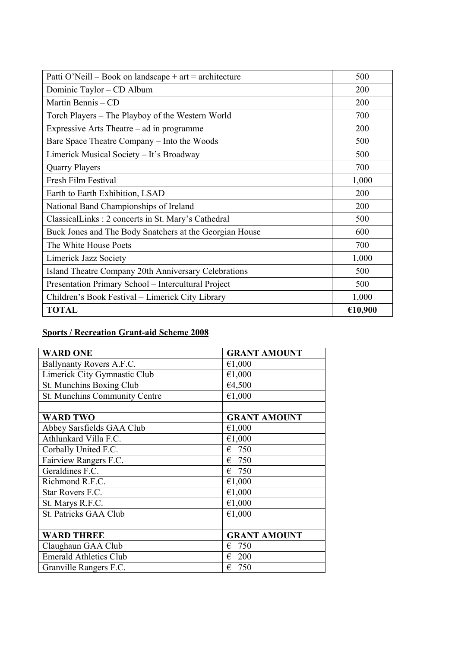| Patti O'Neill – Book on landscape + art = architecture  | 500     |
|---------------------------------------------------------|---------|
| Dominic Taylor – CD Album                               | 200     |
| Martin Bennis - CD                                      | 200     |
| Torch Players – The Playboy of the Western World        | 700     |
| Expressive Arts Theatre – ad in programme               | 200     |
| Bare Space Theatre Company – Into the Woods             | 500     |
| Limerick Musical Society - It's Broadway                | 500     |
| <b>Quarry Players</b>                                   | 700     |
| Fresh Film Festival                                     | 1,000   |
| Earth to Earth Exhibition, LSAD                         | 200     |
| National Band Championships of Ireland                  | 200     |
| ClassicalLinks: 2 concerts in St. Mary's Cathedral      | 500     |
| Buck Jones and The Body Snatchers at the Georgian House | 600     |
| The White House Poets                                   | 700     |
| Limerick Jazz Society                                   | 1,000   |
| Island Theatre Company 20th Anniversary Celebrations    | 500     |
| Presentation Primary School - Intercultural Project     | 500     |
| Children's Book Festival - Limerick City Library        | 1,000   |
| <b>TOTAL</b>                                            | €10,900 |

# **Sports / Recreation Grant-aid Scheme 2008**

| <b>WARD ONE</b>               | <b>GRANT AMOUNT</b> |
|-------------------------------|---------------------|
| Ballynanty Rovers A.F.C.      | €1,000              |
| Limerick City Gymnastic Club  | €1,000              |
| St. Munchins Boxing Club      | €4,500              |
| St. Munchins Community Centre | €1,000              |
|                               |                     |
| <b>WARD TWO</b>               | <b>GRANT AMOUNT</b> |
| Abbey Sarsfields GAA Club     | €1,000              |
| Athlunkard Villa F.C.         | €1,000              |
| Corbally United F.C.          | $\epsilon$ 750      |
| Fairview Rangers F.C.         | $\epsilon$ 750      |
| Geraldines F.C.               | $\epsilon$ 750      |
| Richmond R.F.C.               | €1,000              |
| Star Rovers F.C.              | €1,000              |
| St. Marys R.F.C.              | €1,000              |
| St. Patricks GAA Club         | €1,000              |
|                               |                     |
| <b>WARD THREE</b>             | <b>GRANT AMOUNT</b> |
| Claughaun GAA Club            | 750<br>€            |
| <b>Emerald Athletics Club</b> | -200<br>€           |
| Granville Rangers F.C.        | 750<br>€            |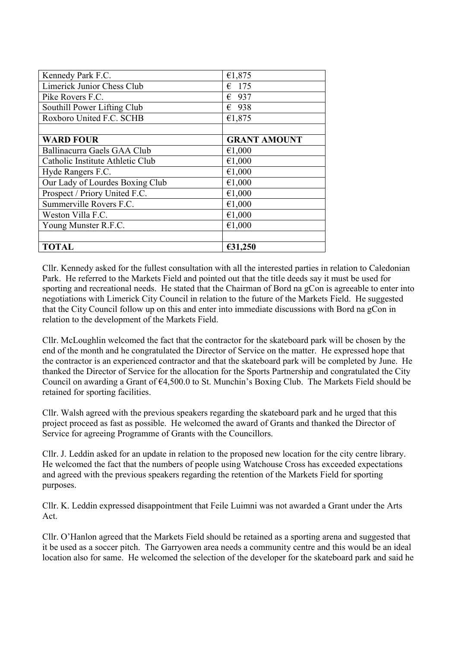| Kennedy Park F.C.                | €1,875              |
|----------------------------------|---------------------|
| Limerick Junior Chess Club       | $\epsilon$ 175      |
| Pike Rovers F.C.                 | $\epsilon$ 937      |
| Southill Power Lifting Club      | $\epsilon$ 938      |
| Roxboro United F.C. SCHB         | €1,875              |
|                                  |                     |
| <b>WARD FOUR</b>                 | <b>GRANT AMOUNT</b> |
| Ballinacurra Gaels GAA Club      | €1,000              |
| Catholic Institute Athletic Club | €1,000              |
| Hyde Rangers F.C.                | €1,000              |
| Our Lady of Lourdes Boxing Club  | €1,000              |
| Prospect / Priory United F.C.    | €1,000              |
| Summerville Rovers F.C.          | €1,000              |
| Weston Villa F.C.                | €1,000              |
| Young Munster R.F.C.             | €1,000              |
|                                  |                     |
| TOTAL                            | €31,250             |

Cllr. Kennedy asked for the fullest consultation with all the interested parties in relation to Caledonian Park. He referred to the Markets Field and pointed out that the title deeds say it must be used for sporting and recreational needs. He stated that the Chairman of Bord na gCon is agreeable to enter into negotiations with Limerick City Council in relation to the future of the Markets Field. He suggested that the City Council follow up on this and enter into immediate discussions with Bord na gCon in relation to the development of the Markets Field.

Cllr. McLoughlin welcomed the fact that the contractor for the skateboard park will be chosen by the end of the month and he congratulated the Director of Service on the matter. He expressed hope that the contractor is an experienced contractor and that the skateboard park will be completed by June. He thanked the Director of Service for the allocation for the Sports Partnership and congratulated the City Council on awarding a Grant of €4,500.0 to St. Munchin's Boxing Club. The Markets Field should be retained for sporting facilities.

Cllr. Walsh agreed with the previous speakers regarding the skateboard park and he urged that this project proceed as fast as possible. He welcomed the award of Grants and thanked the Director of Service for agreeing Programme of Grants with the Councillors.

Cllr. J. Leddin asked for an update in relation to the proposed new location for the city centre library. He welcomed the fact that the numbers of people using Watchouse Cross has exceeded expectations and agreed with the previous speakers regarding the retention of the Markets Field for sporting purposes.

Cllr. K. Leddin expressed disappointment that Feile Luimni was not awarded a Grant under the Arts Act.

Cllr. O'Hanlon agreed that the Markets Field should be retained as a sporting arena and suggested that it be used as a soccer pitch. The Garryowen area needs a community centre and this would be an ideal location also for same. He welcomed the selection of the developer for the skateboard park and said he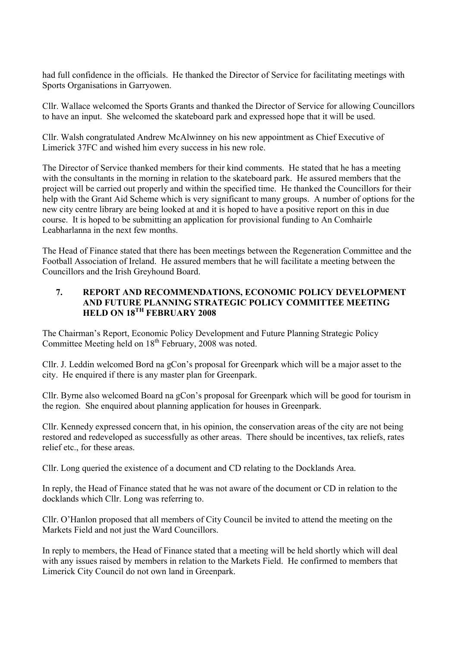had full confidence in the officials. He thanked the Director of Service for facilitating meetings with Sports Organisations in Garryowen.

Cllr. Wallace welcomed the Sports Grants and thanked the Director of Service for allowing Councillors to have an input. She welcomed the skateboard park and expressed hope that it will be used.

Cllr. Walsh congratulated Andrew McAlwinney on his new appointment as Chief Executive of Limerick 37FC and wished him every success in his new role.

The Director of Service thanked members for their kind comments. He stated that he has a meeting with the consultants in the morning in relation to the skateboard park. He assured members that the project will be carried out properly and within the specified time. He thanked the Councillors for their help with the Grant Aid Scheme which is very significant to many groups. A number of options for the new city centre library are being looked at and it is hoped to have a positive report on this in due course. It is hoped to be submitting an application for provisional funding to An Comhairle Leabharlanna in the next few months.

The Head of Finance stated that there has been meetings between the Regeneration Committee and the Football Association of Ireland. He assured members that he will facilitate a meeting between the Councillors and the Irish Greyhound Board.

### **7. REPORT AND RECOMMENDATIONS, ECONOMIC POLICY DEVELOPMENT AND FUTURE PLANNING STRATEGIC POLICY COMMITTEE MEETING HELD ON 18TH FEBRUARY 2008**

The Chairman's Report, Economic Policy Development and Future Planning Strategic Policy Committee Meeting held on 18<sup>th</sup> February, 2008 was noted.

Cllr. J. Leddin welcomed Bord na gCon's proposal for Greenpark which will be a major asset to the city. He enquired if there is any master plan for Greenpark.

Cllr. Byrne also welcomed Board na gCon's proposal for Greenpark which will be good for tourism in the region. She enquired about planning application for houses in Greenpark.

Cllr. Kennedy expressed concern that, in his opinion, the conservation areas of the city are not being restored and redeveloped as successfully as other areas. There should be incentives, tax reliefs, rates relief etc., for these areas.

Cllr. Long queried the existence of a document and CD relating to the Docklands Area.

In reply, the Head of Finance stated that he was not aware of the document or CD in relation to the docklands which Cllr. Long was referring to.

Cllr. O'Hanlon proposed that all members of City Council be invited to attend the meeting on the Markets Field and not just the Ward Councillors.

In reply to members, the Head of Finance stated that a meeting will be held shortly which will deal with any issues raised by members in relation to the Markets Field. He confirmed to members that Limerick City Council do not own land in Greenpark.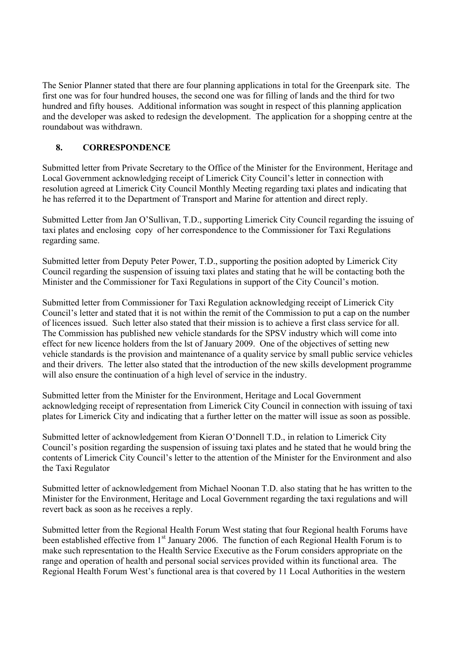The Senior Planner stated that there are four planning applications in total for the Greenpark site. The first one was for four hundred houses, the second one was for filling of lands and the third for two hundred and fifty houses. Additional information was sought in respect of this planning application and the developer was asked to redesign the development. The application for a shopping centre at the roundabout was withdrawn.

# **8. CORRESPONDENCE**

Submitted letter from Private Secretary to the Office of the Minister for the Environment, Heritage and Local Government acknowledging receipt of Limerick City Council's letter in connection with resolution agreed at Limerick City Council Monthly Meeting regarding taxi plates and indicating that he has referred it to the Department of Transport and Marine for attention and direct reply.

Submitted Letter from Jan O'Sullivan, T.D., supporting Limerick City Council regarding the issuing of taxi plates and enclosing copy of her correspondence to the Commissioner for Taxi Regulations regarding same.

Submitted letter from Deputy Peter Power, T.D., supporting the position adopted by Limerick City Council regarding the suspension of issuing taxi plates and stating that he will be contacting both the Minister and the Commissioner for Taxi Regulations in support of the City Council's motion.

Submitted letter from Commissioner for Taxi Regulation acknowledging receipt of Limerick City Council's letter and stated that it is not within the remit of the Commission to put a cap on the number of licences issued. Such letter also stated that their mission is to achieve a first class service for all. The Commission has published new vehicle standards for the SPSV industry which will come into effect for new licence holders from the lst of January 2009. One of the objectives of setting new vehicle standards is the provision and maintenance of a quality service by small public service vehicles and their drivers. The letter also stated that the introduction of the new skills development programme will also ensure the continuation of a high level of service in the industry.

Submitted letter from the Minister for the Environment, Heritage and Local Government acknowledging receipt of representation from Limerick City Council in connection with issuing of taxi plates for Limerick City and indicating that a further letter on the matter will issue as soon as possible.

Submitted letter of acknowledgement from Kieran O'Donnell T.D., in relation to Limerick City Council's position regarding the suspension of issuing taxi plates and he stated that he would bring the contents of Limerick City Council's letter to the attention of the Minister for the Environment and also the Taxi Regulator

Submitted letter of acknowledgement from Michael Noonan T.D. also stating that he has written to the Minister for the Environment, Heritage and Local Government regarding the taxi regulations and will revert back as soon as he receives a reply.

Submitted letter from the Regional Health Forum West stating that four Regional health Forums have been established effective from 1<sup>st</sup> January 2006. The function of each Regional Health Forum is to make such representation to the Health Service Executive as the Forum considers appropriate on the range and operation of health and personal social services provided within its functional area. The Regional Health Forum West's functional area is that covered by 11 Local Authorities in the western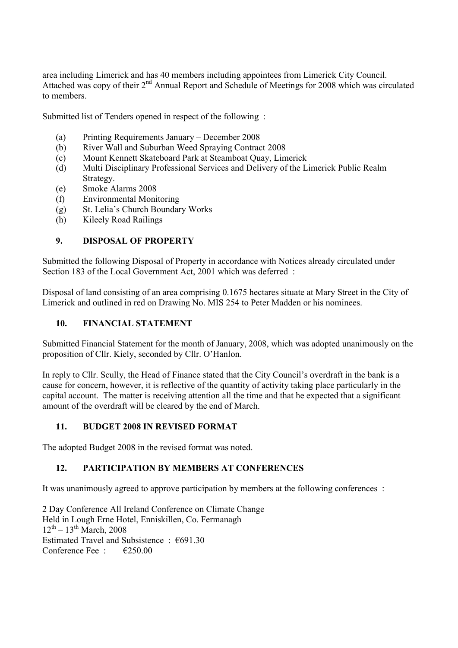area including Limerick and has 40 members including appointees from Limerick City Council. Attached was copy of their 2<sup>nd</sup> Annual Report and Schedule of Meetings for 2008 which was circulated to members.

Submitted list of Tenders opened in respect of the following :

- (a) Printing Requirements January December 2008
- (b) River Wall and Suburban Weed Spraying Contract 2008
- (c) Mount Kennett Skateboard Park at Steamboat Quay, Limerick
- (d) Multi Disciplinary Professional Services and Delivery of the Limerick Public Realm Strategy.
- (e) Smoke Alarms 2008
- (f) Environmental Monitoring
- (g) St. Lelia's Church Boundary Works
- (h) Kileely Road Railings

## **9. DISPOSAL OF PROPERTY**

Submitted the following Disposal of Property in accordance with Notices already circulated under Section 183 of the Local Government Act, 2001 which was deferred :

Disposal of land consisting of an area comprising 0.1675 hectares situate at Mary Street in the City of Limerick and outlined in red on Drawing No. MIS 254 to Peter Madden or his nominees.

## **10. FINANCIAL STATEMENT**

Submitted Financial Statement for the month of January, 2008, which was adopted unanimously on the proposition of Cllr. Kiely, seconded by Cllr. O'Hanlon.

In reply to Cllr. Scully, the Head of Finance stated that the City Council's overdraft in the bank is a cause for concern, however, it is reflective of the quantity of activity taking place particularly in the capital account. The matter is receiving attention all the time and that he expected that a significant amount of the overdraft will be cleared by the end of March.

### **11. BUDGET 2008 IN REVISED FORMAT**

The adopted Budget 2008 in the revised format was noted.

# **12. PARTICIPATION BY MEMBERS AT CONFERENCES**

It was unanimously agreed to approve participation by members at the following conferences :

2 Day Conference All Ireland Conference on Climate Change Held in Lough Erne Hotel, Enniskillen, Co. Fermanagh  $12^{th} - 13^{th}$  March, 2008 Estimated Travel and Subsistence : €691.30 Conference Fee  $\cdot$   $\in$  £250.00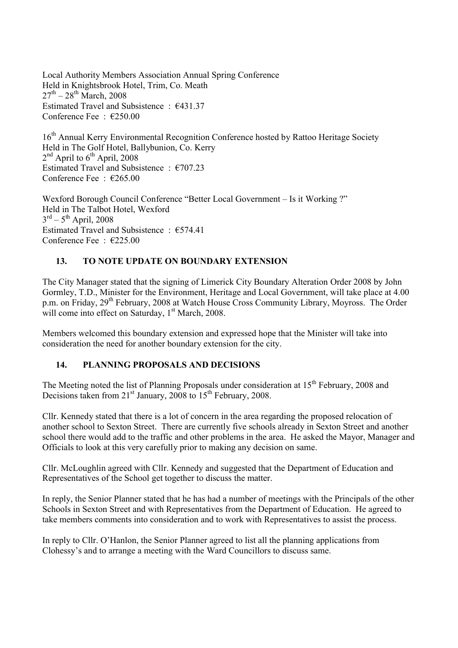Local Authority Members Association Annual Spring Conference Held in Knightsbrook Hotel, Trim, Co. Meath  $27^{th} - 28^{th}$  March, 2008 Estimated Travel and Subsistence : €431.37 Conference Fee : €250.00

16<sup>th</sup> Annual Kerry Environmental Recognition Conference hosted by Rattoo Heritage Society Held in The Golf Hotel, Ballybunion, Co. Kerry  $2<sup>nd</sup>$  April to  $6<sup>th</sup>$  April, 2008 Estimated Travel and Subsistence  $\cdot$  €707.23 Conference Fee : €265.00

Wexford Borough Council Conference "Better Local Government – Is it Working ?" Held in The Talbot Hotel, Wexford  $3<sup>rd</sup> - 5<sup>th</sup>$  April, 2008 Estimated Travel and Subsistence :  $€574.41$ Conference Fee : €225.00

### **13. TO NOTE UPDATE ON BOUNDARY EXTENSION**

The City Manager stated that the signing of Limerick City Boundary Alteration Order 2008 by John Gormley, T.D., Minister for the Environment, Heritage and Local Government, will take place at 4.00 p.m. on Friday, 29<sup>th</sup> February, 2008 at Watch House Cross Community Library, Moyross. The Order will come into effect on Saturday,  $1<sup>st</sup>$  March, 2008.

Members welcomed this boundary extension and expressed hope that the Minister will take into consideration the need for another boundary extension for the city.

### **14. PLANNING PROPOSALS AND DECISIONS**

The Meeting noted the list of Planning Proposals under consideration at 15<sup>th</sup> February, 2008 and Decisions taken from  $21<sup>st</sup>$  January, 2008 to  $15<sup>th</sup>$  February, 2008.

Cllr. Kennedy stated that there is a lot of concern in the area regarding the proposed relocation of another school to Sexton Street. There are currently five schools already in Sexton Street and another school there would add to the traffic and other problems in the area. He asked the Mayor, Manager and Officials to look at this very carefully prior to making any decision on same.

Cllr. McLoughlin agreed with Cllr. Kennedy and suggested that the Department of Education and Representatives of the School get together to discuss the matter.

In reply, the Senior Planner stated that he has had a number of meetings with the Principals of the other Schools in Sexton Street and with Representatives from the Department of Education. He agreed to take members comments into consideration and to work with Representatives to assist the process.

In reply to Cllr. O'Hanlon, the Senior Planner agreed to list all the planning applications from Clohessy's and to arrange a meeting with the Ward Councillors to discuss same.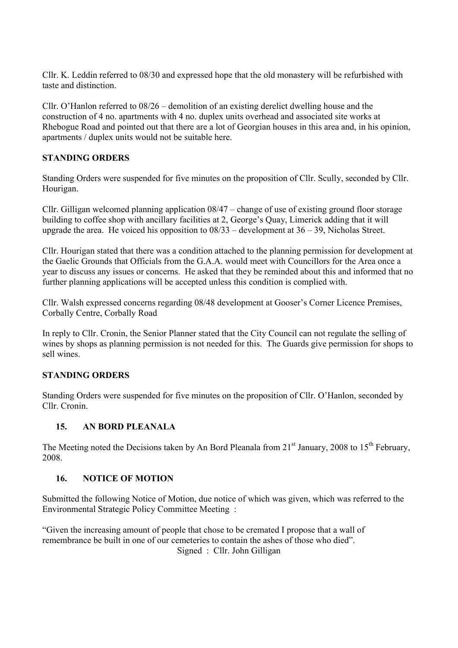Cllr. K. Leddin referred to 08/30 and expressed hope that the old monastery will be refurbished with taste and distinction.

Cllr. O'Hanlon referred to 08/26 – demolition of an existing derelict dwelling house and the construction of 4 no. apartments with 4 no. duplex units overhead and associated site works at Rhebogue Road and pointed out that there are a lot of Georgian houses in this area and, in his opinion, apartments / duplex units would not be suitable here.

# **STANDING ORDERS**

Standing Orders were suspended for five minutes on the proposition of Cllr. Scully, seconded by Cllr. Hourigan.

Cllr. Gilligan welcomed planning application 08/47 – change of use of existing ground floor storage building to coffee shop with ancillary facilities at 2, George's Quay, Limerick adding that it will upgrade the area. He voiced his opposition to  $08/33$  – development at  $36 - 39$ , Nicholas Street.

Cllr. Hourigan stated that there was a condition attached to the planning permission for development at the Gaelic Grounds that Officials from the G.A.A. would meet with Councillors for the Area once a year to discuss any issues or concerns. He asked that they be reminded about this and informed that no further planning applications will be accepted unless this condition is complied with.

Cllr. Walsh expressed concerns regarding 08/48 development at Gooser's Corner Licence Premises, Corbally Centre, Corbally Road

In reply to Cllr. Cronin, the Senior Planner stated that the City Council can not regulate the selling of wines by shops as planning permission is not needed for this. The Guards give permission for shops to sell wines.

### **STANDING ORDERS**

Standing Orders were suspended for five minutes on the proposition of Cllr. O'Hanlon, seconded by Cllr. Cronin.

### **15. AN BORD PLEANALA**

The Meeting noted the Decisions taken by An Bord Pleanala from  $21<sup>st</sup>$  January, 2008 to  $15<sup>th</sup>$  February. 2008.

#### **16. NOTICE OF MOTION**

Submitted the following Notice of Motion, due notice of which was given, which was referred to the Environmental Strategic Policy Committee Meeting :

"Given the increasing amount of people that chose to be cremated I propose that a wall of remembrance be built in one of our cemeteries to contain the ashes of those who died". Signed : Cllr. John Gilligan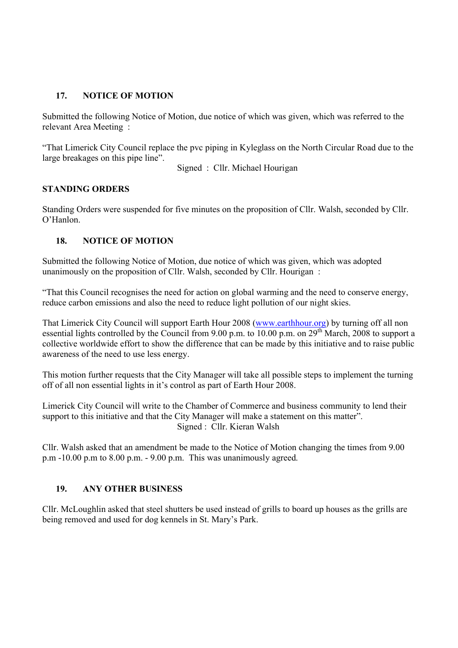## **17. NOTICE OF MOTION**

Submitted the following Notice of Motion, due notice of which was given, which was referred to the relevant Area Meeting :

"That Limerick City Council replace the pvc piping in Kyleglass on the North Circular Road due to the large breakages on this pipe line".

Signed : Cllr. Michael Hourigan

### **STANDING ORDERS**

Standing Orders were suspended for five minutes on the proposition of Cllr. Walsh, seconded by Cllr. O'Hanlon.

### **18. NOTICE OF MOTION**

Submitted the following Notice of Motion, due notice of which was given, which was adopted unanimously on the proposition of Cllr. Walsh, seconded by Cllr. Hourigan :

"That this Council recognises the need for action on global warming and the need to conserve energy, reduce carbon emissions and also the need to reduce light pollution of our night skies.

That Limerick City Council will support Earth Hour 2008 (www.earthhour.org) by turning off all non essential lights controlled by the Council from 9.00 p.m. to 10.00 p.m. on 29<sup>th</sup> March, 2008 to support a collective worldwide effort to show the difference that can be made by this initiative and to raise public awareness of the need to use less energy.

This motion further requests that the City Manager will take all possible steps to implement the turning off of all non essential lights in it's control as part of Earth Hour 2008.

Limerick City Council will write to the Chamber of Commerce and business community to lend their support to this initiative and that the City Manager will make a statement on this matter". Signed : Cllr. Kieran Walsh

Cllr. Walsh asked that an amendment be made to the Notice of Motion changing the times from 9.00 p.m -10.00 p.m to 8.00 p.m. - 9.00 p.m. This was unanimously agreed.

### **19. ANY OTHER BUSINESS**

Cllr. McLoughlin asked that steel shutters be used instead of grills to board up houses as the grills are being removed and used for dog kennels in St. Mary's Park.